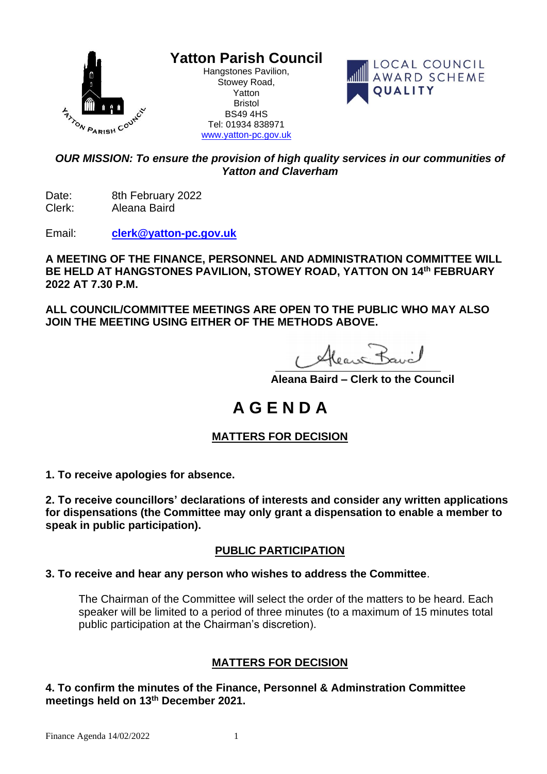

# **Yatton Parish Council**

Hangstones Pavilion, Stowey Road, Yatton Bristol BS49 4HS Tel: 01934 838971 [www.yatton-pc.gov.uk](http://www.yatton-pc.gov.uk/)



#### *OUR MISSION: To ensure the provision of high quality services in our communities of Yatton and Claverham*

Date: 8th February 2022<br>Clerk: Aleana Baird Aleana Baird

Email: **[clerk@yatton-pc.gov.uk](mailto:clerk@yatton-pc.gov.uk)**

**A MEETING OF THE FINANCE, PERSONNEL AND ADMINISTRATION COMMITTEE WILL BE HELD AT HANGSTONES PAVILION, STOWEY ROAD, YATTON ON 14th FEBRUARY 2022 AT 7.30 P.M.**

**ALL COUNCIL/COMMITTEE MEETINGS ARE OPEN TO THE PUBLIC WHO MAY ALSO JOIN THE MEETING USING EITHER OF THE METHODS ABOVE.**

Alean B

 **Aleana Baird – Clerk to the Council**

# **A G E N D A**

### **MATTERS FOR DECISION**

**1. To receive apologies for absence.**

**2. To receive councillors' declarations of interests and consider any written applications for dispensations (the Committee may only grant a dispensation to enable a member to speak in public participation).**

#### **PUBLIC PARTICIPATION**

#### **3. To receive and hear any person who wishes to address the Committee**.

The Chairman of the Committee will select the order of the matters to be heard. Each speaker will be limited to a period of three minutes (to a maximum of 15 minutes total public participation at the Chairman's discretion).

#### **MATTERS FOR DECISION**

**4. To confirm the minutes of the Finance, Personnel & Adminstration Committee meetings held on 13 th December 2021.**